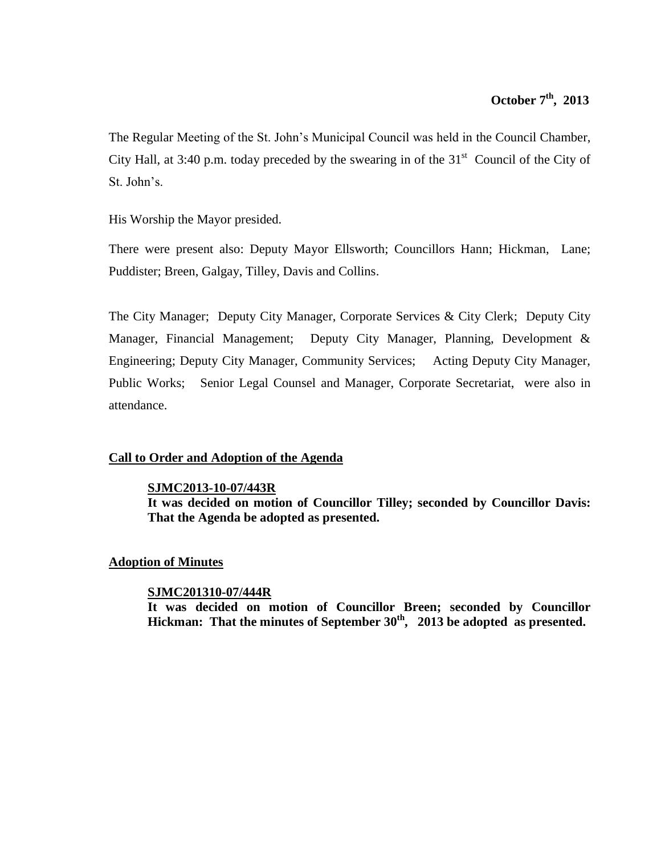The Regular Meeting of the St. John's Municipal Council was held in the Council Chamber, City Hall, at 3:40 p.m. today preceded by the swearing in of the  $31<sup>st</sup>$  Council of the City of St. John's.

His Worship the Mayor presided.

There were present also: Deputy Mayor Ellsworth; Councillors Hann; Hickman, Lane; Puddister; Breen, Galgay, Tilley, Davis and Collins.

The City Manager; Deputy City Manager, Corporate Services & City Clerk; Deputy City Manager, Financial Management; Deputy City Manager, Planning, Development & Engineering; Deputy City Manager, Community Services; Acting Deputy City Manager, Public Works; Senior Legal Counsel and Manager, Corporate Secretariat, were also in attendance.

# **Call to Order and Adoption of the Agenda**

### **SJMC2013-10-07/443R**

**It was decided on motion of Councillor Tilley; seconded by Councillor Davis: That the Agenda be adopted as presented.**

### **Adoption of Minutes**

## **SJMC201310-07/444R**

**It was decided on motion of Councillor Breen; seconded by Councillor Hickman: That the minutes of September 30th , 2013 be adopted as presented.**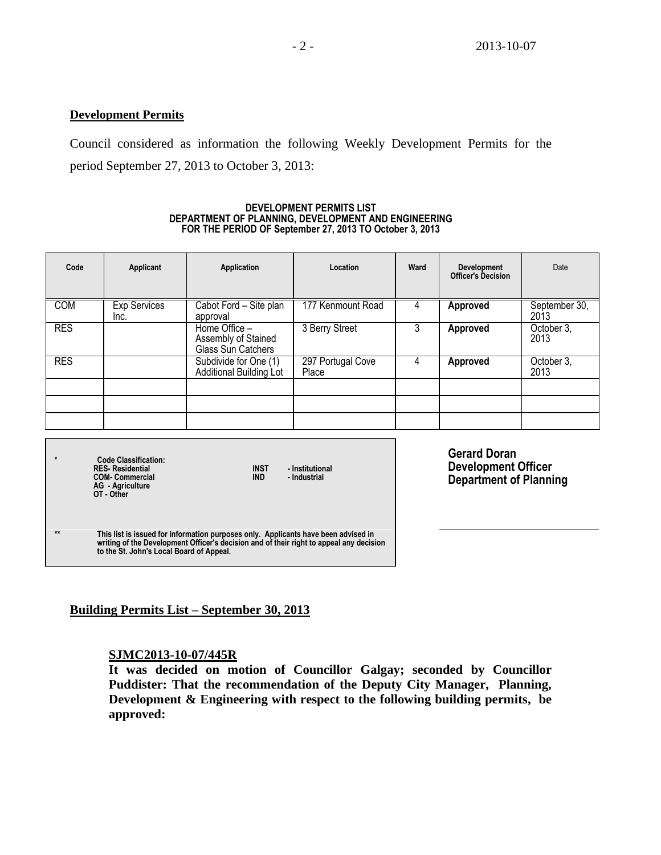### **Development Permits**

Council considered as information the following Weekly Development Permits for the period September 27, 2013 to October 3, 2013:

#### **DEVELOPMENT PERMITS LIST DEPARTMENT OF PLANNING, DEVELOPMENT AND ENGINEERING FOR THE PERIOD OF September 27, 2013 TO October 3, 2013**

| Code       | Applicant                   | Application                                                | Location                   | Ward | <b>Development</b><br><b>Officer's Decision</b> | Date                  |
|------------|-----------------------------|------------------------------------------------------------|----------------------------|------|-------------------------------------------------|-----------------------|
| <b>COM</b> | <b>Exp Services</b><br>Inc. | Cabot Ford - Site plan<br>approval                         | 177 Kenmount Road          |      | Approved                                        | September 30,<br>2013 |
| <b>RES</b> |                             | Home Office -<br>Assembly of Stained<br>Glass Sun Catchers | 3 Berry Street             | 3    | Approved                                        | October 3,<br>2013    |
| <b>RES</b> |                             | Subdivide for One (1)<br>Additional Building Lot           | 297 Portugal Cove<br>Place |      | Approved                                        | October 3,<br>2013    |
|            |                             |                                                            |                            |      |                                                 |                       |
|            |                             |                                                            |                            |      |                                                 |                       |
|            |                             |                                                            |                            |      |                                                 |                       |

**\* Code Classification: RES- Residential INST - Institutional COM- Commercial IND - Industrial AG - Agriculture OT - Other**

**Gerard Doran Development Officer Department of Planning**

**\*\* This list is issued for information purposes only. Applicants have been advised in writing of the Development Officer's decision and of their right to appeal any decision to the St. John's Local Board of Appeal.**

# **Building Permits List – September 30, 2013**

## **SJMC2013-10-07/445R**

**It was decided on motion of Councillor Galgay; seconded by Councillor Puddister: That the recommendation of the Deputy City Manager, Planning, Development & Engineering with respect to the following building permits, be approved:**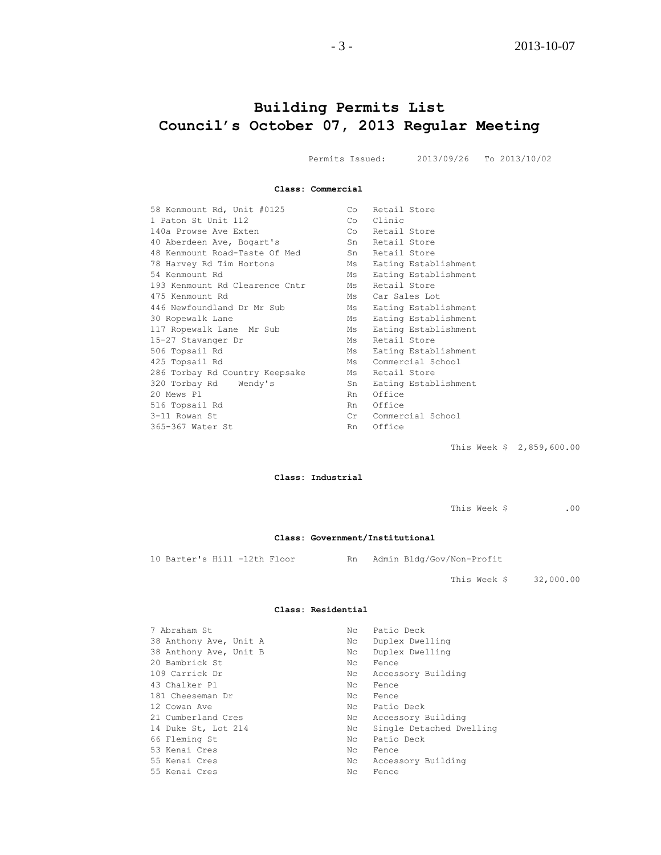# **Building Permits List Council's October 07, 2013 Regular Meeting**

Permits Issued: 2013/09/26 To 2013/10/02

**Class: Commercial**

| 58 Kenmount Rd, Unit #0125     | Retail Store<br>Co         |  |
|--------------------------------|----------------------------|--|
| 1 Paton St Unit 112            | Clinic<br>Co               |  |
| 140a Prowse Ave Exten          | Co Retail Store            |  |
| 40 Aberdeen Ave, Bogart's      | Retail Store<br>Sn         |  |
| 48 Kenmount Road-Taste Of Med  | Retail Store<br>Sn         |  |
| 78 Harvey Rd Tim Hortons       | Eating Establishment<br>Ms |  |
| 54 Kenmount Rd                 | Eating Establishment<br>Ms |  |
| 193 Kenmount Rd Clearence Cntr | Retail Store<br>Ms         |  |
| 475 Kenmount Rd                | Car Sales Lot<br>Ms        |  |
| 446 Newfoundland Dr Mr Sub     | Eating Establishment<br>Ms |  |
| 30 Ropewalk Lane               | Eating Establishment<br>Ms |  |
| 117 Ropewalk Lane Mr Sub       | Eating Establishment<br>Ms |  |
| 15-27 Stavanger Dr             | Retail Store<br>Ms         |  |
| 506 Topsail Rd                 | Eating Establishment<br>Ms |  |
| 425 Topsail Rd                 | Commercial School<br>Ms    |  |
| 286 Torbay Rd Country Keepsake | Retail Store<br>Ms         |  |
| 320 Torbay Rd Wendy's          | Eating Establishment<br>Sn |  |
| 20 Mews Pl                     | Office<br>Rn.              |  |
| 516 Topsail Rd                 | Office<br>Rn               |  |
| 3-11 Rowan St                  | Commercial School<br>Cr    |  |
| 365-367 Water St               | Office<br>Rn.              |  |
|                                |                            |  |

This Week \$ 2,859,600.00

#### **Class: Industrial**

This Week \$ .00

#### **Class: Government/Institutional**

10 Barter's Hill -12th Floor Rn Admin Bldg/Gov/Non-Profit

This Week \$ 32,000.00

#### **Class: Residential**

| 7 Abraham St           | Nc  | Patio Deck               |
|------------------------|-----|--------------------------|
| 38 Anthony Ave, Unit A | Nc  | Duplex Dwelling          |
| 38 Anthony Ave, Unit B | Nc  | Duplex Dwelling          |
| 20 Bambrick St         | Nc. | Fence                    |
| 109 Carrick Dr         | Nc  | Accessory Building       |
| 43 Chalker Pl          | Nc. | Fence                    |
| 181 Cheeseman Dr       | Nc  | Fence                    |
| 12 Cowan Ave           | Nc  | Patio Deck               |
| 21 Cumberland Cres     | Nc  | Accessory Building       |
| 14 Duke St, Lot 214    | Nc  | Single Detached Dwelling |
| 66 Fleming St          | Nc  | Patio Deck               |
| 53 Kenai Cres          | Nc  | Fence                    |
| 55 Kenai Cres          | Nc  | Accessory Building       |
| 55 Kenai Cres          | Nc. | Fence                    |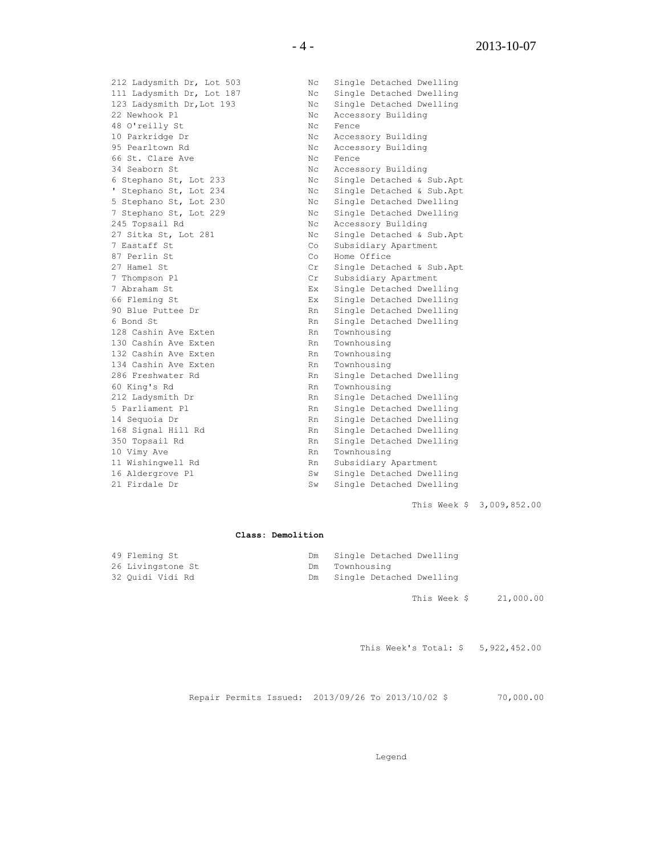212 Ladysmith Dr, Lot 503 Nc Single Detached Dwelling<br>
111 Ladysmith Dr, Lot 187 Nc Single Detached Dwelling<br>
123 Ladysmith Dr, Lot 193 Nc Single Detached Dwelling Nc Single Detached Dwelling Nc Single Detached Dwelling 22 Newhook Pl **NC Accessory Building** 48 O'reilly St Nc Fence 10 Parkridge Dr Nc Accessory Building 95 Pearltown Rd **No. 1988** Nc Accessory Building 95 Pearltown Rd<br>66 St. Clare Ave Nc Rence<br>24 Stellars 21 34 Seaborn St Nc Accessory Building 6 Stephano St, Lot 233 Nc Single Detached & Sub.Apt ' Stephano St, Lot 234 Nc Single Detached & Sub.Apt 5 Stephano St, Lot 230 Nc Single Detached Dwelling 7 Stephano St, Lot 229 Nc Single Detached Dwelling 245 Topsail Rd North Communist Research Nc Accessory Building 27 Sitka St, Lot 281 Nc Single Detached & Sub.Apt 7 Eastaff St Co Subsidiary Apartment 87 Perlin St Co Home Office 27 Hamel St Cr Single Detached & Sub.Apt 7 Thompson Pl Cr Subsidiary Apartment 7 Abraham St Ex Single Detached Dwelling 66 Fleming St Ex Single Detached Dwelling 90 Blue Puttee Dr Rn Single Detached Dwelling 6 Bond St Rn Single Detached Dwelling 128 Cashin Ave Exten RN Rn Townhousing 130 Cashin Ave Exten RN Rn Townhousing 132 Cashin Ave Exten Rn Townhousing 134 Cashin Ave Exten Rn Townhousing 286 Freshwater Rd Rn Single Detached Dwelling 60 King's Rd **Rn** Townhousing 212 Ladysmith Dr **Rn** Single Detached Dwelling<br>
5 Parliament Pl **Rn** Single Detached Dwelling Rn Single Detached Dwelling 14 Sequoia Dr Rn Single Detached Dwelling 14 Sequente Branch Rn Single Detached Dwelling<br>168 Signal Hill Rd Rn Single Detached Dwelling 350 Topsail Rd **Rn** Single Detached Dwelling 10 Vimy Ave Rn Townhousing 11 Wishingwell Rd<br>16 Aldergrove Pl<br>16 Aldergrove Pl<br>19 Sw Single Detached Dwel. 16 Aldergrove Pl Sw Single Detached Dwelling

This Week \$ 3,009,852.00

#### **Class: Demolition**

21 Firdale Dr Sw Single Detached Dwelling

| 49 Fleming St     | Dm Single Detached Dwelling |
|-------------------|-----------------------------|
| 26 Livingstone St | Dm Townhousing              |
| 32 Quidi Vidi Rd  | Dm Single Detached Dwelling |

This Week \$ 21,000.00

This Week's Total: \$ 5,922,452.00

Repair Permits Issued: 2013/09/26 To 2013/10/02 \$ 70,000.00

Legend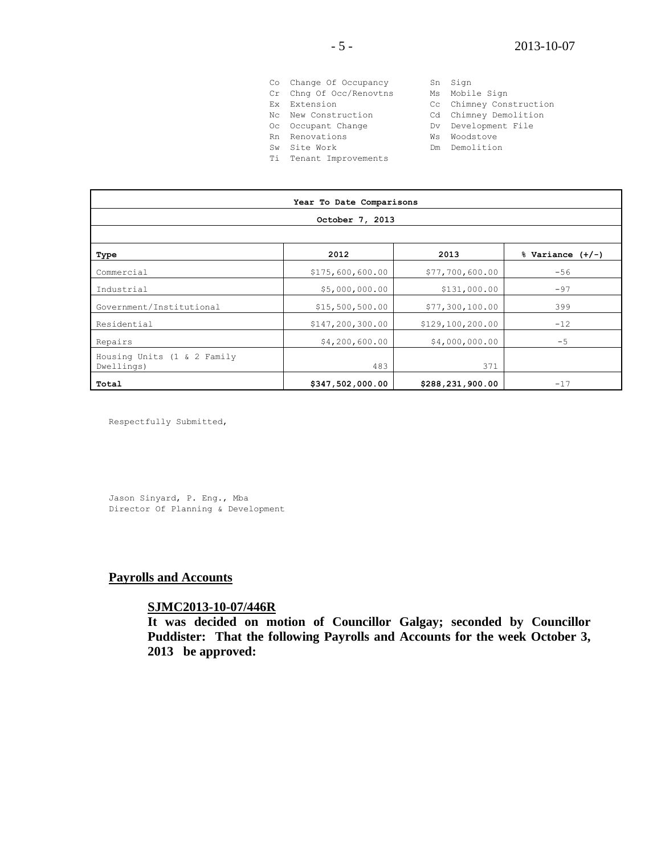|           | Co Change Of Occupancy  |    | Sn Sign                 |
|-----------|-------------------------|----|-------------------------|
|           | Cr Chng Of Occ/Renovtns |    | Ms Mobile Sign          |
| Fx.       | Extension               |    | Cc Chimney Construction |
|           | No. New Construction    |    | Cd Chimney Demolition   |
|           | Oc Occupant Change      |    | Dv Development File     |
|           | Rn Renovations          | Ws | Woodstove               |
| <b>Sw</b> | Site Work               |    | Dm Demolition           |
|           | Ti Tenant Improvements  |    |                         |

| Year To Date Comparisons                  |                    |                  |                      |  |
|-------------------------------------------|--------------------|------------------|----------------------|--|
| October 7, 2013                           |                    |                  |                      |  |
|                                           |                    |                  |                      |  |
| Type                                      | 2012               | 2013             | $%$ Variance $(+/-)$ |  |
| Commercial                                | \$175,600,600.00   | \$77,700,600.00  | $-56$                |  |
| Industrial                                | \$5,000,000.00     | \$131,000.00     | $-97$                |  |
| Government/Institutional                  | \$15,500,500.00    | \$77,300,100.00  | 399                  |  |
| Residential                               | \$147, 200, 300.00 | \$129,100,200.00 | $-12$                |  |
| Repairs                                   | \$4,200,600.00     | \$4,000,000.00   | $-5$                 |  |
| Housing Units (1 & 2 Family<br>Dwellings) | 483                | 371              |                      |  |
| Total                                     | \$347,502,000.00   | \$288,231,900.00 | $-17$                |  |

Respectfully Submitted,

Jason Sinyard, P. Eng., Mba Director Of Planning & Development

# **Payrolls and Accounts**

### **SJMC2013-10-07/446R**

**It was decided on motion of Councillor Galgay; seconded by Councillor Puddister: That the following Payrolls and Accounts for the week October 3, 2013 be approved:**